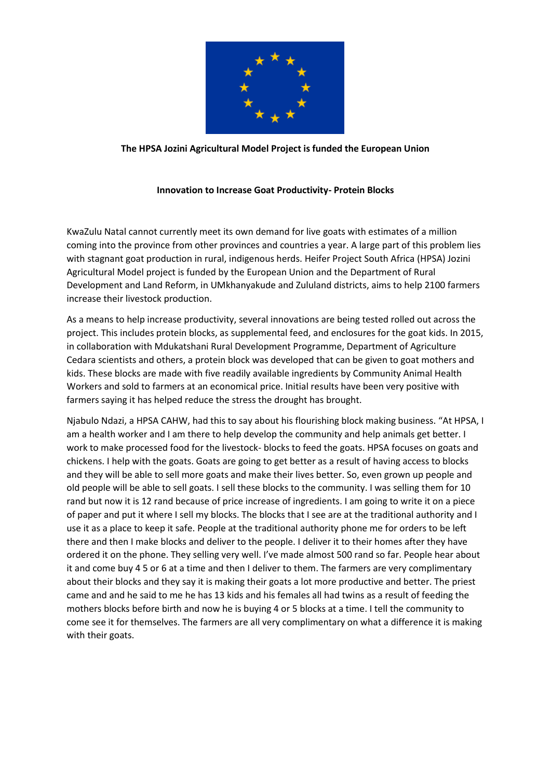

## **The HPSA Jozini Agricultural Model Project is funded the European Union**

## **Innovation to Increase Goat Productivity- Protein Blocks**

KwaZulu Natal cannot currently meet its own demand for live goats with estimates of a million coming into the province from other provinces and countries a year. A large part of this problem lies with stagnant goat production in rural, indigenous herds. Heifer Project South Africa (HPSA) Jozini Agricultural Model project is funded by the European Union and the Department of Rural Development and Land Reform, in UMkhanyakude and Zululand districts, aims to help 2100 farmers increase their livestock production.

As a means to help increase productivity, several innovations are being tested rolled out across the project. This includes protein blocks, as supplemental feed, and enclosures for the goat kids. In 2015, in collaboration with Mdukatshani Rural Development Programme, Department of Agriculture Cedara scientists and others, a protein block was developed that can be given to goat mothers and kids. These blocks are made with five readily available ingredients by Community Animal Health Workers and sold to farmers at an economical price. Initial results have been very positive with farmers saying it has helped reduce the stress the drought has brought.

Njabulo Ndazi, a HPSA CAHW, had this to say about his flourishing block making business. "At HPSA, I am a health worker and I am there to help develop the community and help animals get better. I work to make processed food for the livestock- blocks to feed the goats. HPSA focuses on goats and chickens. I help with the goats. Goats are going to get better as a result of having access to blocks and they will be able to sell more goats and make their lives better. So, even grown up people and old people will be able to sell goats. I sell these blocks to the community. I was selling them for 10 rand but now it is 12 rand because of price increase of ingredients. I am going to write it on a piece of paper and put it where I sell my blocks. The blocks that I see are at the traditional authority and I use it as a place to keep it safe. People at the traditional authority phone me for orders to be left there and then I make blocks and deliver to the people. I deliver it to their homes after they have ordered it on the phone. They selling very well. I've made almost 500 rand so far. People hear about it and come buy 4 5 or 6 at a time and then I deliver to them. The farmers are very complimentary about their blocks and they say it is making their goats a lot more productive and better. The priest came and and he said to me he has 13 kids and his females all had twins as a result of feeding the mothers blocks before birth and now he is buying 4 or 5 blocks at a time. I tell the community to come see it for themselves. The farmers are all very complimentary on what a difference it is making with their goats.